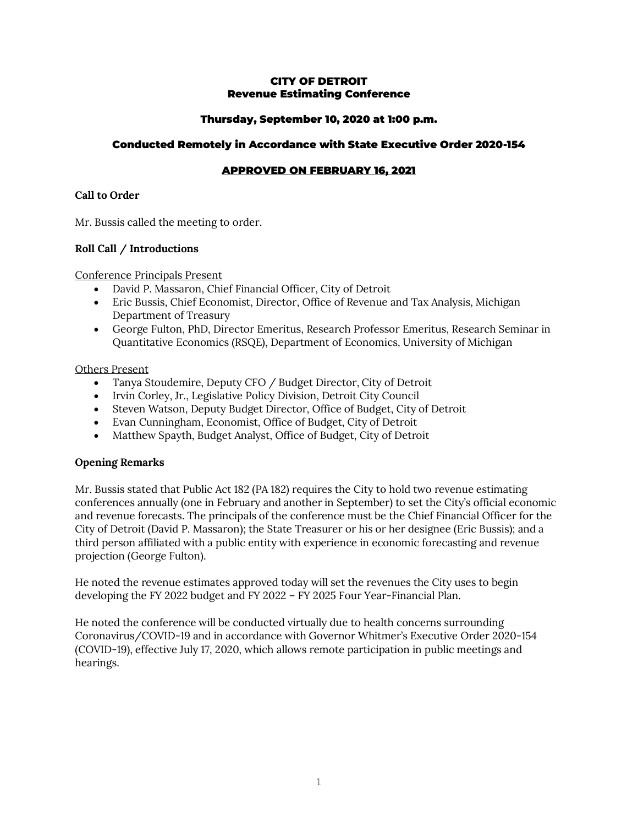#### CITY OF DETROIT Revenue Estimating Conference

# Thursday, September 10, 2020 at 1:00 p.m.

## Conducted Remotely in Accordance with State Executive Order 2020-154

# APPROVED ON FEBRUARY 16, 2021

### **Call to Order**

Mr. Bussis called the meeting to order.

## **Roll Call / Introductions**

Conference Principals Present

- David P. Massaron, Chief Financial Officer, City of Detroit
- Eric Bussis, Chief Economist, Director, Office of Revenue and Tax Analysis, Michigan Department of Treasury
- George Fulton, PhD, Director Emeritus, Research Professor Emeritus, Research Seminar in Quantitative Economics (RSQE), Department of Economics, University of Michigan

## Others Present

- Tanya Stoudemire, Deputy CFO / Budget Director, City of Detroit
- Irvin Corley, Jr., Legislative Policy Division, Detroit City Council
- Steven Watson, Deputy Budget Director, Office of Budget, City of Detroit
- Evan Cunningham, Economist, Office of Budget, City of Detroit
- Matthew Spayth, Budget Analyst, Office of Budget, City of Detroit

# **Opening Remarks**

Mr. Bussis stated that Public Act 182 (PA 182) requires the City to hold two revenue estimating conferences annually (one in February and another in September) to set the City's official economic and revenue forecasts. The principals of the conference must be the Chief Financial Officer for the City of Detroit (David P. Massaron); the State Treasurer or his or her designee (Eric Bussis); and a third person affiliated with a public entity with experience in economic forecasting and revenue projection (George Fulton).

He noted the revenue estimates approved today will set the revenues the City uses to begin developing the FY 2022 budget and FY 2022 – FY 2025 Four Year-Financial Plan.

He noted the conference will be conducted virtually due to health concerns surrounding Coronavirus/COVID-19 and in accordance with Governor Whitmer's Executive Order 2020-154 (COVID-19), effective July 17, 2020, which allows remote participation in public meetings and hearings.